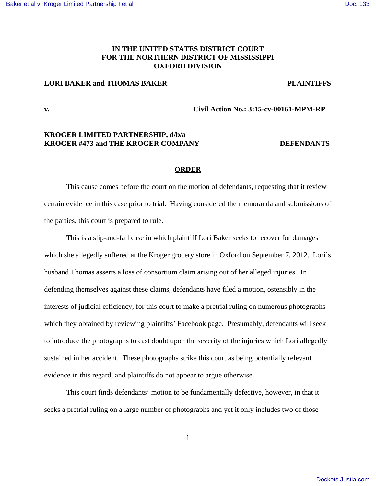# **IN THE UNITED STATES DISTRICT COURT FOR THE NORTHERN DISTRICT OF MISSISSIPPI OXFORD DIVISION**

# **LORI BAKER and THOMAS BAKER PLAINTIFFS**

**v. Civil Action No.: 3:15-cv-00161-MPM-RP**

# **KROGER LIMITED PARTNERSHIP, d/b/a KROGER #473 and THE KROGER COMPANY DEFENDANTS**

### **ORDER**

This cause comes before the court on the motion of defendants, requesting that it review certain evidence in this case prior to trial. Having considered the memoranda and submissions of the parties, this court is prepared to rule.

This is a slip-and-fall case in which plaintiff Lori Baker seeks to recover for damages which she allegedly suffered at the Kroger grocery store in Oxford on September 7, 2012. Lori's husband Thomas asserts a loss of consortium claim arising out of her alleged injuries. In defending themselves against these claims, defendants have filed a motion, ostensibly in the interests of judicial efficiency, for this court to make a pretrial ruling on numerous photographs which they obtained by reviewing plaintiffs' Facebook page. Presumably, defendants will seek to introduce the photographs to cast doubt upon the severity of the injuries which Lori allegedly sustained in her accident. These photographs strike this court as being potentially relevant evidence in this regard, and plaintiffs do not appear to argue otherwise.

This court finds defendants' motion to be fundamentally defective, however, in that it seeks a pretrial ruling on a large number of photographs and yet it only includes two of those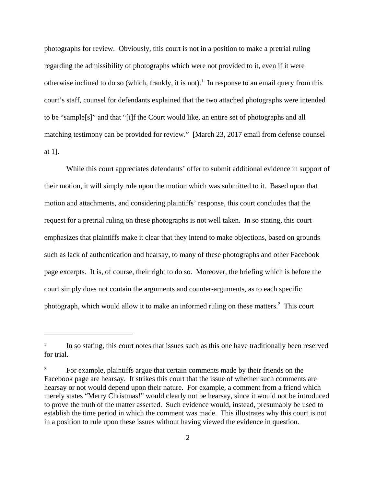photographs for review. Obviously, this court is not in a position to make a pretrial ruling regarding the admissibility of photographs which were not provided to it, even if it were otherwise inclined to do so (which, frankly, it is not).<sup>1</sup> In response to an email query from this court's staff, counsel for defendants explained that the two attached photographs were intended to be "sample[s]" and that "[i]f the Court would like, an entire set of photographs and all matching testimony can be provided for review." [March 23, 2017 email from defense counsel at 1].

While this court appreciates defendants' offer to submit additional evidence in support of their motion, it will simply rule upon the motion which was submitted to it. Based upon that motion and attachments, and considering plaintiffs' response, this court concludes that the request for a pretrial ruling on these photographs is not well taken. In so stating, this court emphasizes that plaintiffs make it clear that they intend to make objections, based on grounds such as lack of authentication and hearsay, to many of these photographs and other Facebook page excerpts. It is, of course, their right to do so. Moreover, the briefing which is before the court simply does not contain the arguments and counter-arguments, as to each specific photograph, which would allow it to make an informed ruling on these matters.<sup>2</sup> This court

<sup>1</sup> In so stating, this court notes that issues such as this one have traditionally been reserved for trial.

For example, plaintiffs argue that certain comments made by their friends on the Facebook page are hearsay. It strikes this court that the issue of whether such comments are hearsay or not would depend upon their nature. For example, a comment from a friend which merely states "Merry Christmas!" would clearly not be hearsay, since it would not be introduced to prove the truth of the matter asserted. Such evidence would, instead, presumably be used to establish the time period in which the comment was made. This illustrates why this court is not in a position to rule upon these issues without having viewed the evidence in question.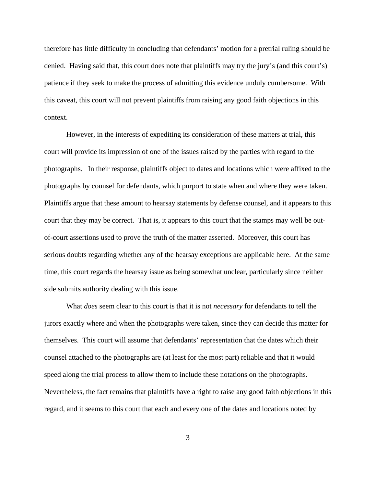therefore has little difficulty in concluding that defendants' motion for a pretrial ruling should be denied. Having said that, this court does note that plaintiffs may try the jury's (and this court's) patience if they seek to make the process of admitting this evidence unduly cumbersome. With this caveat, this court will not prevent plaintiffs from raising any good faith objections in this context.

However, in the interests of expediting its consideration of these matters at trial, this court will provide its impression of one of the issues raised by the parties with regard to the photographs. In their response, plaintiffs object to dates and locations which were affixed to the photographs by counsel for defendants, which purport to state when and where they were taken. Plaintiffs argue that these amount to hearsay statements by defense counsel, and it appears to this court that they may be correct. That is, it appears to this court that the stamps may well be outof-court assertions used to prove the truth of the matter asserted. Moreover, this court has serious doubts regarding whether any of the hearsay exceptions are applicable here. At the same time, this court regards the hearsay issue as being somewhat unclear, particularly since neither side submits authority dealing with this issue.

What *does* seem clear to this court is that it is not *necessary* for defendants to tell the jurors exactly where and when the photographs were taken, since they can decide this matter for themselves. This court will assume that defendants' representation that the dates which their counsel attached to the photographs are (at least for the most part) reliable and that it would speed along the trial process to allow them to include these notations on the photographs. Nevertheless, the fact remains that plaintiffs have a right to raise any good faith objections in this regard, and it seems to this court that each and every one of the dates and locations noted by

3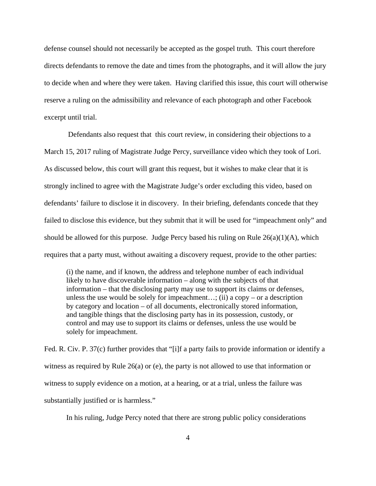defense counsel should not necessarily be accepted as the gospel truth. This court therefore directs defendants to remove the date and times from the photographs, and it will allow the jury to decide when and where they were taken. Having clarified this issue, this court will otherwise reserve a ruling on the admissibility and relevance of each photograph and other Facebook excerpt until trial.

 Defendants also request that this court review, in considering their objections to a March 15, 2017 ruling of Magistrate Judge Percy, surveillance video which they took of Lori. As discussed below, this court will grant this request, but it wishes to make clear that it is strongly inclined to agree with the Magistrate Judge's order excluding this video, based on defendants' failure to disclose it in discovery. In their briefing, defendants concede that they failed to disclose this evidence, but they submit that it will be used for "impeachment only" and should be allowed for this purpose. Judge Percy based his ruling on Rule 26(a)(1)(A), which requires that a party must, without awaiting a discovery request, provide to the other parties:

(i) the name, and if known, the address and telephone number of each individual likely to have discoverable information – along with the subjects of that information – that the disclosing party may use to support its claims or defenses, unless the use would be solely for impeachment...; (ii) a copy – or a description by category and location – of all documents, electronically stored information, and tangible things that the disclosing party has in its possession, custody, or control and may use to support its claims or defenses, unless the use would be solely for impeachment.

Fed. R. Civ. P. 37(c) further provides that "[i]f a party fails to provide information or identify a witness as required by Rule 26(a) or (e), the party is not allowed to use that information or witness to supply evidence on a motion, at a hearing, or at a trial, unless the failure was substantially justified or is harmless."

In his ruling, Judge Percy noted that there are strong public policy considerations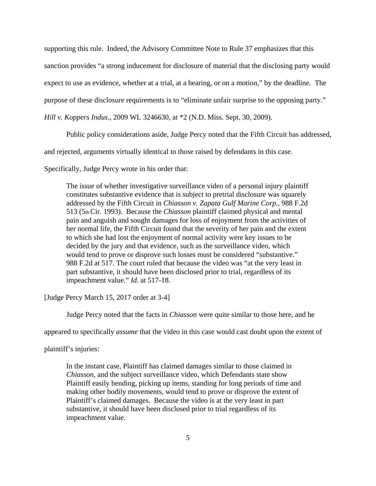supporting this rule. Indeed, the Advisory Committee Note to Rule 37 emphasizes that this

sanction provides "a strong inducement for disclosure of material that the disclosing party would

expect to use as evidence, whether at a trial, at a hearing, or on a motion," by the deadline. The

purpose of these disclosure requirements is to "eliminate unfair surprise to the opposing party."

*Hill v. Koppers Indus.*, 2009 WL 3246630, at \*2 (N.D. Miss. Sept. 30, 2009).

Public policy considerations aside, Judge Percy noted that the Fifth Circuit has addressed,

and rejected, arguments virtually identical to those raised by defendants in this case.

Specifically, Judge Percy wrote in his order that:

The issue of whether investigative surveillance video of a personal injury plaintiff constitutes substantive evidence that is subject to pretrial disclosure was squarely addressed by the Fifth Circuit in *Chiasson v. Zapata Gulf Marine Corp.*, 988 F.2d 513 (5th Cir. 1993). Because the *Chiasson* plaintiff claimed physical and mental pain and anguish and sought damages for loss of enjoyment from the activities of her normal life, the Fifth Circuit found that the severity of her pain and the extent to which she had lost the enjoyment of normal activity were key issues to be decided by the jury and that evidence, such as the surveillance video, which would tend to prove or disprove such losses must be considered "substantive." 988 F.2d at 517. The court ruled that because the video was "at the very least in part substantive, it should have been disclosed prior to trial, regardless of its impeachment value." *Id.* at 517-18.

[Judge Percy March 15, 2017 order at 3-4]

Judge Percy noted that the facts in *Chiasson* were quite similar to those here, and he

appeared to specifically *assume* that the video in this case would cast doubt upon the extent of

plaintiff's injuries:

In the instant case, Plaintiff has claimed damages similar to those claimed in *Chiasson*, and the subject surveillance video, which Defendants state show Plaintiff easily bending, picking up items, standing for long periods of time and making other bodily movements, would tend to prove or disprove the extent of Plaintiff's claimed damages. Because the video is at the very least in part substantive, it should have been disclosed prior to trial regardless of its impeachment value.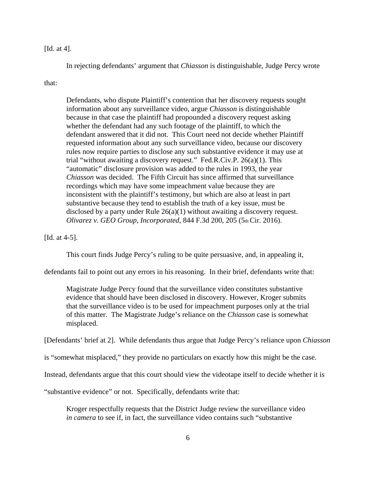## [Id. at 4].

In rejecting defendants' argument that *Chiasson* is distinguishable, Judge Percy wrote

## that:

Defendants, who dispute Plaintiff's contention that her discovery requests sought information about any surveillance video, argue *Chiasson* is distinguishable because in that case the plaintiff had propounded a discovery request asking whether the defendant had any such footage of the plaintiff, to which the defendant answered that it did not. This Court need not decide whether Plaintiff requested information about any such surveillance video, because our discovery rules now require parties to disclose any such substantive evidence it may use at trial "without awaiting a discovery request." Fed.R.Civ.P. 26(a)(1). This "automatic" disclosure provision was added to the rules in 1993, the year *Chiasson* was decided. The Fifth Circuit has since affirmed that surveillance recordings which may have some impeachment value because they are inconsistent with the plaintiff's testimony, but which are also at least in part substantive because they tend to establish the truth of a key issue, must be disclosed by a party under Rule 26(a)(1) without awaiting a discovery request. *Olivarez v. GEO Group, Incorporated, 844 F.3d 200, 205 (5th Cir. 2016).* 

## [Id. at 4-5].

This court finds Judge Percy's ruling to be quite persuasive, and, in appealing it,

defendants fail to point out any errors in his reasoning. In their brief, defendants write that:

Magistrate Judge Percy found that the surveillance video constitutes substantive evidence that should have been disclosed in discovery. However, Kroger submits that the surveillance video is to be used for impeachment purposes only at the trial of this matter. The Magistrate Judge's reliance on the *Chiasson* case is somewhat misplaced.

[Defendants' brief at 2]. While defendants thus argue that Judge Percy's reliance upon *Chiasson*

is "somewhat misplaced," they provide no particulars on exactly how this might be the case.

Instead, defendants argue that this court should view the videotape itself to decide whether it is

"substantive evidence" or not. Specifically, defendants write that:

Kroger respectfully requests that the District Judge review the surveillance video *in camera* to see if, in fact, the surveillance video contains such "substantive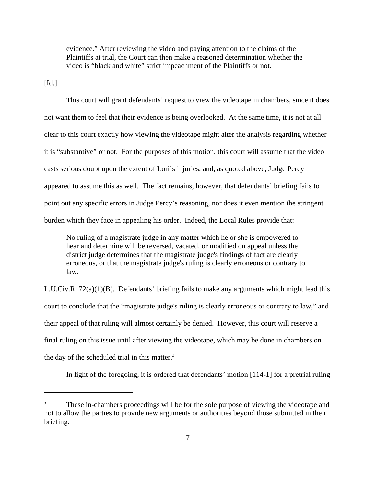evidence." After reviewing the video and paying attention to the claims of the Plaintiffs at trial, the Court can then make a reasoned determination whether the video is "black and white" strict impeachment of the Plaintiffs or not.

 $\left[$ Id. $\right]$ 

This court will grant defendants' request to view the videotape in chambers, since it does not want them to feel that their evidence is being overlooked. At the same time, it is not at all clear to this court exactly how viewing the videotape might alter the analysis regarding whether it is "substantive" or not. For the purposes of this motion, this court will assume that the video casts serious doubt upon the extent of Lori's injuries, and, as quoted above, Judge Percy appeared to assume this as well. The fact remains, however, that defendants' briefing fails to point out any specific errors in Judge Percy's reasoning, nor does it even mention the stringent burden which they face in appealing his order. Indeed, the Local Rules provide that:

No ruling of a magistrate judge in any matter which he or she is empowered to hear and determine will be reversed, vacated, or modified on appeal unless the district judge determines that the magistrate judge's findings of fact are clearly erroneous, or that the magistrate judge's ruling is clearly erroneous or contrary to law.

L.U.Civ.R. 72(a)(1)(B). Defendants' briefing fails to make any arguments which might lead this court to conclude that the "magistrate judge's ruling is clearly erroneous or contrary to law," and their appeal of that ruling will almost certainly be denied. However, this court will reserve a final ruling on this issue until after viewing the videotape, which may be done in chambers on the day of the scheduled trial in this matter.<sup>3</sup>

In light of the foregoing, it is ordered that defendants' motion [114-1] for a pretrial ruling

These in-chambers proceedings will be for the sole purpose of viewing the videotape and not to allow the parties to provide new arguments or authorities beyond those submitted in their briefing.